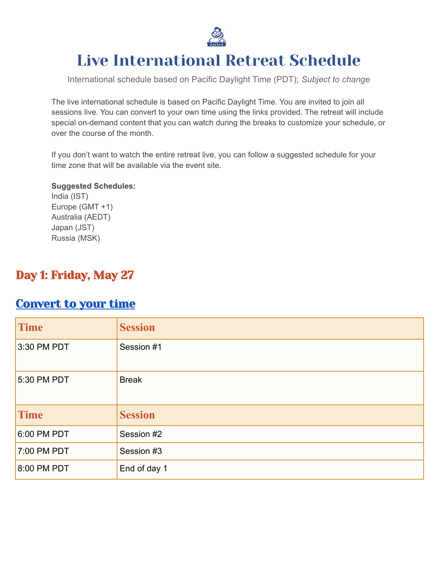

# Live International Retreat Schedule

International schedule based on Pacific Daylight Time (PDT); *Subject to change*

The live international schedule is based on Pacific Daylight Time. You are invited to join all sessions live. You can convert to your own time using the links provided. The retreat will include special on-demand content that you can watch during the breaks to customize your schedule, or over the course of the month.

If you don't want to watch the entire retreat live, you can follow a suggested schedule for your time zone that will be available via the event site.

#### **Suggested Schedules:**

India (IST) Europe (GMT +1) Australia (AEDT) Japan (JST) Russia (MSK)

### Day 1: Friday, May 27

#### [Convert](https://dateful.com/convert/pacific-time-pt?t=934am) to your time

| Time          | <b>Session</b> |
|---------------|----------------|
| 3:30 PM PDT   | Session #1     |
| $5:30$ PM PDT | <b>Break</b>   |
| <b>Time</b>   | <b>Session</b> |
| $6:00$ PM PDT | Session #2     |
| 7:00 PM PDT   | Session #3     |
| 8:00 PM PDT   | End of day 1   |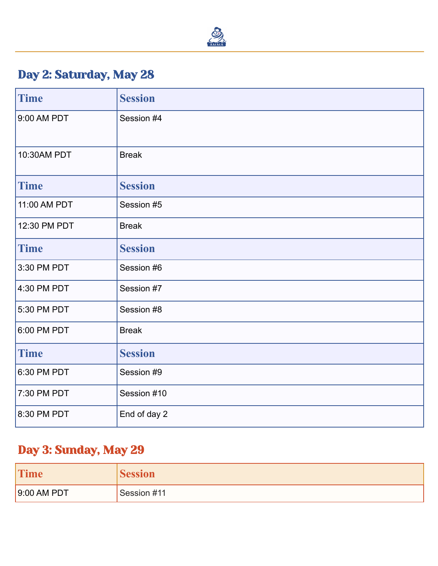

## Day 2: Saturday, May 28

| <b>Time</b>  | <b>Session</b> |
|--------------|----------------|
| 9:00 AM PDT  | Session #4     |
| 10:30AM PDT  | <b>Break</b>   |
| <b>Time</b>  | <b>Session</b> |
| 11:00 AM PDT | Session #5     |
| 12:30 PM PDT | <b>Break</b>   |
| <b>Time</b>  | <b>Session</b> |
| 3:30 PM PDT  | Session #6     |
| 4:30 PM PDT  | Session #7     |
| 5:30 PM PDT  | Session #8     |
| 6:00 PM PDT  | <b>Break</b>   |
| <b>Time</b>  | <b>Session</b> |
| 6:30 PM PDT  | Session #9     |
| 7:30 PM PDT  | Session #10    |
| 8:30 PM PDT  | End of day 2   |

### Day 3: Sunday, May 29

| <b>Time</b> | session     |
|-------------|-------------|
| 9:00 AM PDT | Session #11 |